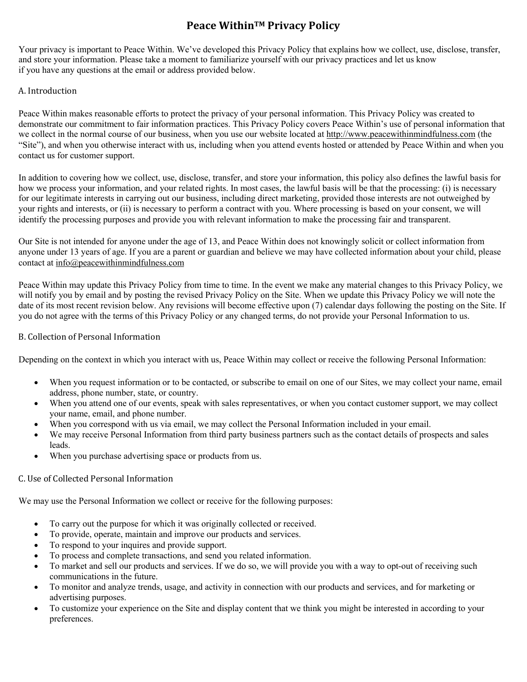# **Peace WithinTM Privacy Policy**

Your privacy is important to Peace Within. We've developed this Privacy Policy that explains how we collect, use, disclose, transfer, and store your information. Please take a moment to familiarize yourself with our privacy practices and let us know if you have any questions at the email or address provided below.

## A. Introduction

Peace Within makes reasonable efforts to protect the privacy of your personal information. This Privacy Policy was created to demonstrate our commitment to fair information practices. This Privacy Policy covers Peace Within's use of personal information that we collect in the normal course of our business, when you use our website located at http://www.peacewithinmindfulness.com (the "Site"), and when you otherwise interact with us, including when you attend events hosted or attended by Peace Within and when you contact us for customer support.

In addition to covering how we collect, use, disclose, transfer, and store your information, this policy also defines the lawful basis for how we process your information, and your related rights. In most cases, the lawful basis will be that the processing: (i) is necessary for our legitimate interests in carrying out our business, including direct marketing, provided those interests are not outweighed by your rights and interests, or (ii) is necessary to perform a contract with you. Where processing is based on your consent, we will identify the processing purposes and provide you with relevant information to make the processing fair and transparent.

Our Site is not intended for anyone under the age of 13, and Peace Within does not knowingly solicit or collect information from anyone under 13 years of age. If you are a parent or guardian and believe we may have collected information about your child, please contact at info@peacewithinmindfulness.com

Peace Within may update this Privacy Policy from time to time. In the event we make any material changes to this Privacy Policy, we will notify you by email and by posting the revised Privacy Policy on the Site. When we update this Privacy Policy we will note the date of its most recent revision below. Any revisions will become effective upon (7) calendar days following the posting on the Site. If you do not agree with the terms of this Privacy Policy or any changed terms, do not provide your Personal Information to us.

# B. Collection of Personal Information

Depending on the context in which you interact with us, Peace Within may collect or receive the following Personal Information:

- When you request information or to be contacted, or subscribe to email on one of our Sites, we may collect your name, email address, phone number, state, or country.
- When you attend one of our events, speak with sales representatives, or when you contact customer support, we may collect your name, email, and phone number.
- When you correspond with us via email, we may collect the Personal Information included in your email.
- We may receive Personal Information from third party business partners such as the contact details of prospects and sales leads.
- When you purchase advertising space or products from us.

# C. Use of Collected Personal Information

We may use the Personal Information we collect or receive for the following purposes:

- To carry out the purpose for which it was originally collected or received.
- To provide, operate, maintain and improve our products and services.
- To respond to your inquires and provide support.
- To process and complete transactions, and send you related information.
- To market and sell our products and services. If we do so, we will provide you with a way to opt-out of receiving such communications in the future.
- To monitor and analyze trends, usage, and activity in connection with our products and services, and for marketing or advertising purposes.
- To customize your experience on the Site and display content that we think you might be interested in according to your preferences.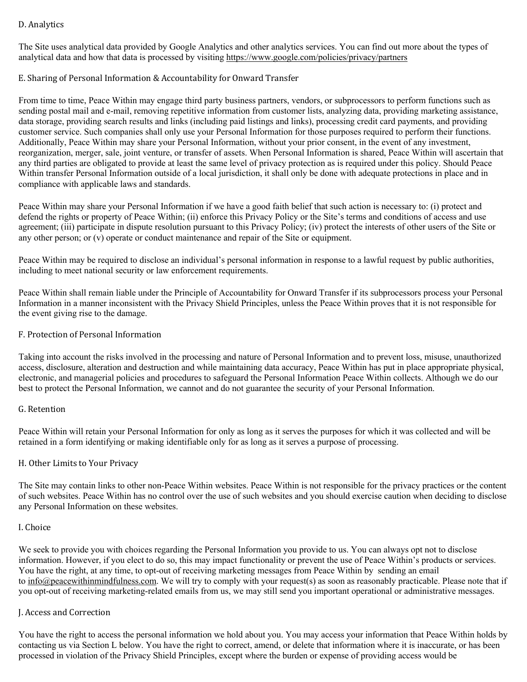# D. Analytics

The Site uses analytical data provided by Google Analytics and other analytics services. You can find out more about the types of analytical data and how that data is processed by visiting https://www.google.com/policies/privacy/partners

## E. Sharing of Personal Information & Accountability for Onward Transfer

From time to time, Peace Within may engage third party business partners, vendors, or subprocessors to perform functions such as sending postal mail and e-mail, removing repetitive information from customer lists, analyzing data, providing marketing assistance, data storage, providing search results and links (including paid listings and links), processing credit card payments, and providing customer service. Such companies shall only use your Personal Information for those purposes required to perform their functions. Additionally, Peace Within may share your Personal Information, without your prior consent, in the event of any investment, reorganization, merger, sale, joint venture, or transfer of assets. When Personal Information is shared, Peace Within will ascertain that any third parties are obligated to provide at least the same level of privacy protection as is required under this policy. Should Peace Within transfer Personal Information outside of a local jurisdiction, it shall only be done with adequate protections in place and in compliance with applicable laws and standards.

Peace Within may share your Personal Information if we have a good faith belief that such action is necessary to: (i) protect and defend the rights or property of Peace Within; (ii) enforce this Privacy Policy or the Site's terms and conditions of access and use agreement; (iii) participate in dispute resolution pursuant to this Privacy Policy; (iv) protect the interests of other users of the Site or any other person; or (v) operate or conduct maintenance and repair of the Site or equipment.

Peace Within may be required to disclose an individual's personal information in response to a lawful request by public authorities, including to meet national security or law enforcement requirements.

Peace Within shall remain liable under the Principle of Accountability for Onward Transfer if its subprocessors process your Personal Information in a manner inconsistent with the Privacy Shield Principles, unless the Peace Within proves that it is not responsible for the event giving rise to the damage.

## F. Protection of Personal Information

Taking into account the risks involved in the processing and nature of Personal Information and to prevent loss, misuse, unauthorized access, disclosure, alteration and destruction and while maintaining data accuracy, Peace Within has put in place appropriate physical, electronic, and managerial policies and procedures to safeguard the Personal Information Peace Within collects. Although we do our best to protect the Personal Information, we cannot and do not guarantee the security of your Personal Information.

## G. Retention

Peace Within will retain your Personal Information for only as long as it serves the purposes for which it was collected and will be retained in a form identifying or making identifiable only for as long as it serves a purpose of processing.

## H. Other Limits to Your Privacy

The Site may contain links to other non-Peace Within websites. Peace Within is not responsible for the privacy practices or the content of such websites. Peace Within has no control over the use of such websites and you should exercise caution when deciding to disclose any Personal Information on these websites.

#### I. Choice

We seek to provide you with choices regarding the Personal Information you provide to us. You can always opt not to disclose information. However, if you elect to do so, this may impact functionality or prevent the use of Peace Within's products or services. You have the right, at any time, to opt-out of receiving marketing messages from Peace Within by sending an email to info@peacewithinmindfulness.com. We will try to comply with your request(s) as soon as reasonably practicable. Please note that if you opt-out of receiving marketing-related emails from us, we may still send you important operational or administrative messages.

## J. Access and Correction

You have the right to access the personal information we hold about you. You may access your information that Peace Within holds by contacting us via Section L below. You have the right to correct, amend, or delete that information where it is inaccurate, or has been processed in violation of the Privacy Shield Principles, except where the burden or expense of providing access would be